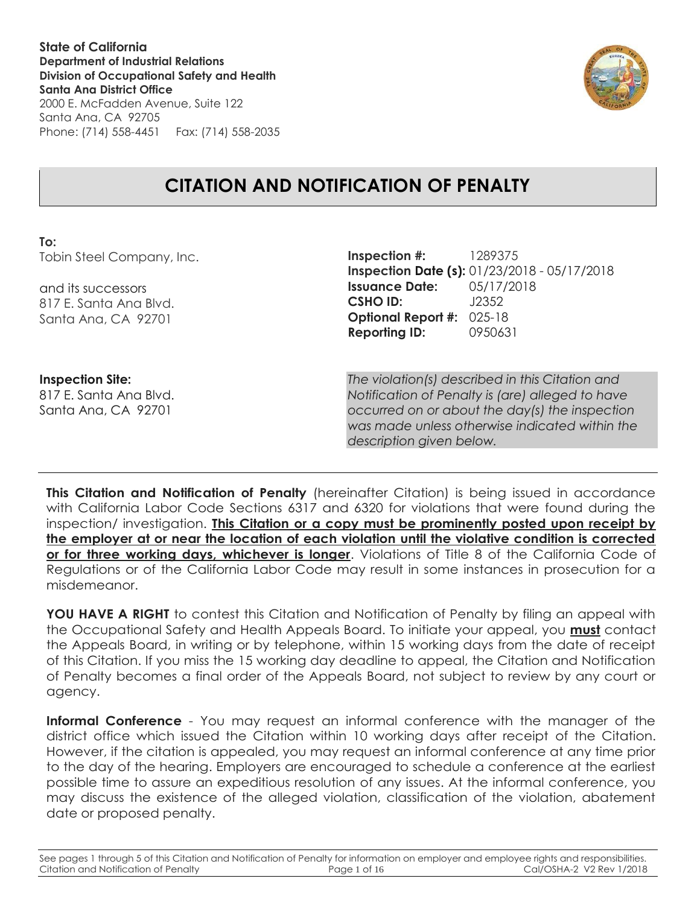**State of California Department of Industrial Relations Division of Occupational Safety and Health Santa Ana District Office** 2000 E. McFadden Avenue, Suite 122



# Santa Ana, CA 92705 Phone: (714) 558-4451 Fax: (714) 558-2035

# **CITATION AND NOTIFICATION OF PENALTY**

## **To:**

Tobin Steel Company, Inc.

and its successors 817 E. Santa Ana Blvd. Santa Ana, CA 92701

**Inspection #:** 1289375 **Inspection Date (s):** 01/23/2018 - 05/17/2018 **Issuance Date:** 05/17/2018 **CSHO ID:** J2352 **Optional Report #:** 025-18 **Reporting ID:** 0950631

**Inspection Site:** 817 E. Santa Ana Blvd. Santa Ana, CA 92701

*The violation(s) described in this Citation and Notification of Penalty is (are) alleged to have occurred on or about the day(s) the inspection was made unless otherwise indicated within the description given below.*

**This Citation and Notification of Penalty** (hereinafter Citation) is being issued in accordance with California Labor Code Sections 6317 and 6320 for violations that were found during the inspection/ investigation. **This Citation or a copy must be prominently posted upon receipt by the employer at or near the location of each violation until the violative condition is corrected or for three working days, whichever is longer**. Violations of Title 8 of the California Code of Regulations or of the California Labor Code may result in some instances in prosecution for a misdemeanor.

**YOU HAVE A RIGHT** to contest this Citation and Notification of Penalty by filing an appeal with the Occupational Safety and Health Appeals Board. To initiate your appeal, you **must** contact the Appeals Board, in writing or by telephone, within 15 working days from the date of receipt of this Citation. If you miss the 15 working day deadline to appeal, the Citation and Notification of Penalty becomes a final order of the Appeals Board, not subject to review by any court or agency.

**Informal Conference** - You may request an informal conference with the manager of the district office which issued the Citation within 10 working days after receipt of the Citation. However, if the citation is appealed, you may request an informal conference at any time prior to the day of the hearing. Employers are encouraged to schedule a conference at the earliest possible time to assure an expeditious resolution of any issues. At the informal conference, you may discuss the existence of the alleged violation, classification of the violation, abatement date or proposed penalty.

See pages 1 through 5 of this Citation and Notification of Penalty for information on employer and employee rights and responsibilities. Citation and Notification of Penalty Page 1 of 16 Cal/OSHA-2 V2 Rev 1/2018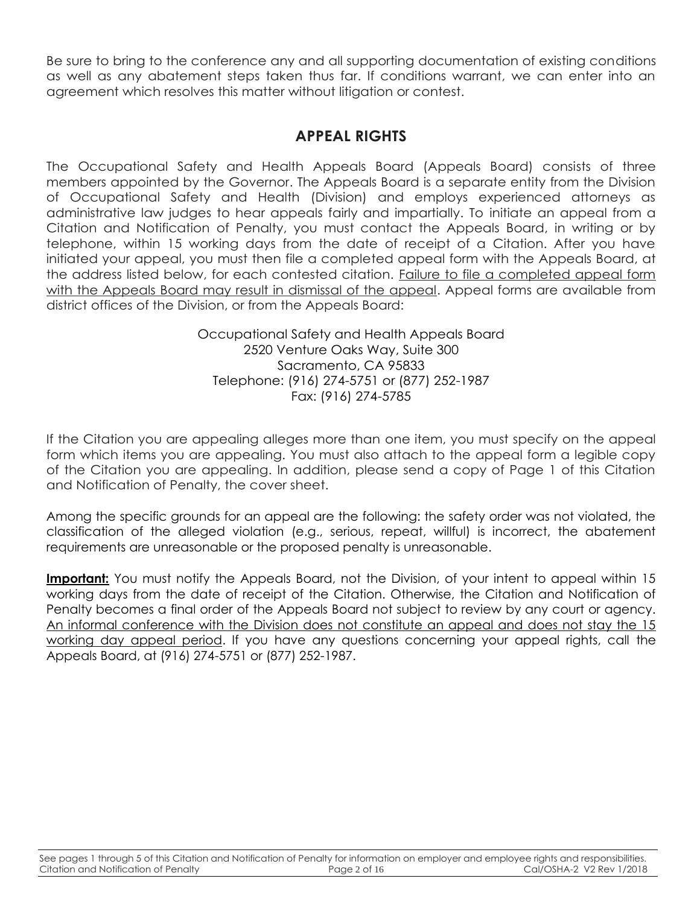Be sure to bring to the conference any and all supporting documentation of existing conditions as well as any abatement steps taken thus far. If conditions warrant, we can enter into an agreement which resolves this matter without litigation or contest.

# **APPEAL RIGHTS**

The Occupational Safety and Health Appeals Board (Appeals Board) consists of three members appointed by the Governor. The Appeals Board is a separate entity from the Division of Occupational Safety and Health (Division) and employs experienced attorneys as administrative law judges to hear appeals fairly and impartially. To initiate an appeal from a Citation and Notification of Penalty, you must contact the Appeals Board, in writing or by telephone, within 15 working days from the date of receipt of a Citation. After you have initiated your appeal, you must then file a completed appeal form with the Appeals Board, at the address listed below, for each contested citation. Failure to file a completed appeal form with the Appeals Board may result in dismissal of the appeal. Appeal forms are available from district offices of the Division, or from the Appeals Board:

> Occupational Safety and Health Appeals Board 2520 Venture Oaks Way, Suite 300 Sacramento, CA 95833 Telephone: (916) 274-5751 or (877) 252-1987 Fax: (916) 274-5785

If the Citation you are appealing alleges more than one item, you must specify on the appeal form which items you are appealing. You must also attach to the appeal form a legible copy of the Citation you are appealing. In addition, please send a copy of Page 1 of this Citation and Notification of Penalty, the cover sheet.

Among the specific grounds for an appeal are the following: the safety order was not violated, the classification of the alleged violation (e.g., serious, repeat, willful) is incorrect, the abatement requirements are unreasonable or the proposed penalty is unreasonable.

**Important:** You must notify the Appeals Board, not the Division, of your intent to appeal within 15 working days from the date of receipt of the Citation. Otherwise, the Citation and Notification of Penalty becomes a final order of the Appeals Board not subject to review by any court or agency. An informal conference with the Division does not constitute an appeal and does not stay the 15 working day appeal period. If you have any questions concerning your appeal rights, call the Appeals Board, at (916) 274-5751 or (877) 252-1987.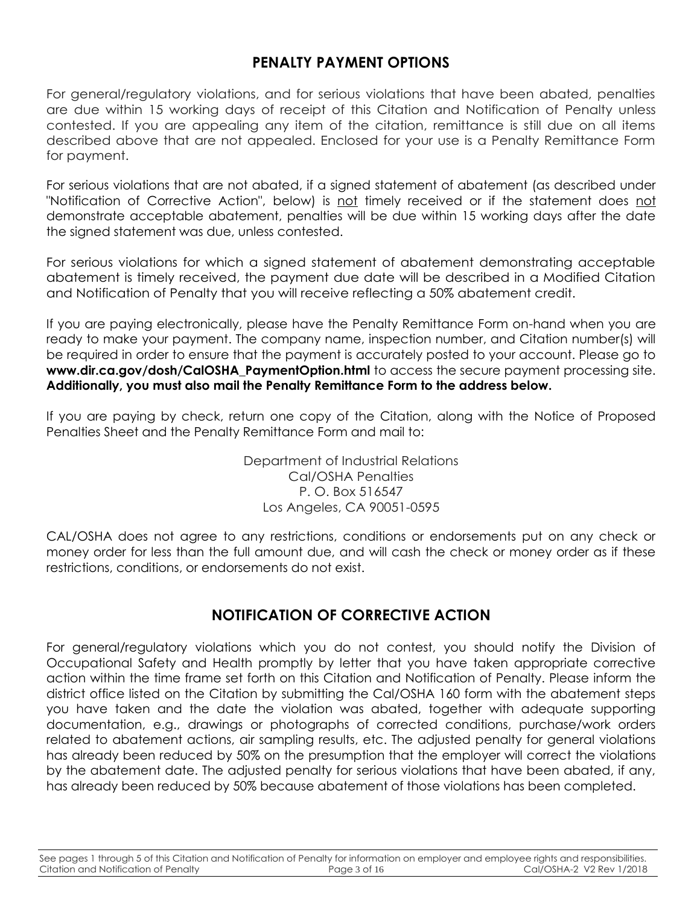# **PENALTY PAYMENT OPTIONS**

For general/regulatory violations, and for serious violations that have been abated, penalties are due within 15 working days of receipt of this Citation and Notification of Penalty unless contested. If you are appealing any item of the citation, remittance is still due on all items described above that are not appealed. Enclosed for your use is a Penalty Remittance Form for payment.

For serious violations that are not abated, if a signed statement of abatement (as described under "Notification of Corrective Action", below) is not timely received or if the statement does not demonstrate acceptable abatement, penalties will be due within 15 working days after the date the signed statement was due, unless contested.

For serious violations for which a signed statement of abatement demonstrating acceptable abatement is timely received, the payment due date will be described in a Modified Citation and Notification of Penalty that you will receive reflecting a 50% abatement credit.

If you are paying electronically, please have the Penalty Remittance Form on-hand when you are ready to make your payment. The company name, inspection number, and Citation number(s) will be required in order to ensure that the payment is accurately posted to your account. Please go to www.dir.ca.gov/dosh/CalOSHA PaymentOption.html to access the secure payment processing site. **Additionally, you must also mail the Penalty Remittance Form to the address below.**

If you are paying by check, return one copy of the Citation, along with the Notice of Proposed Penalties Sheet and the Penalty Remittance Form and mail to:

> Department of Industrial Relations Cal/OSHA Penalties P. O. Box 516547 Los Angeles, CA 90051-0595

CAL/OSHA does not agree to any restrictions, conditions or endorsements put on any check or money order for less than the full amount due, and will cash the check or money order as if these restrictions, conditions, or endorsements do not exist.

# **NOTIFICATION OF CORRECTIVE ACTION**

For general/regulatory violations which you do not contest, you should notify the Division of Occupational Safety and Health promptly by letter that you have taken appropriate corrective action within the time frame set forth on this Citation and Notification of Penalty. Please inform the district office listed on the Citation by submitting the Cal/OSHA 160 form with the abatement steps you have taken and the date the violation was abated, together with adequate supporting documentation, e.g., drawings or photographs of corrected conditions, purchase/work orders related to abatement actions, air sampling results, etc. The adjusted penalty for general violations has already been reduced by 50% on the presumption that the employer will correct the violations by the abatement date. The adjusted penalty for serious violations that have been abated, if any, has already been reduced by 50% because abatement of those violations has been completed.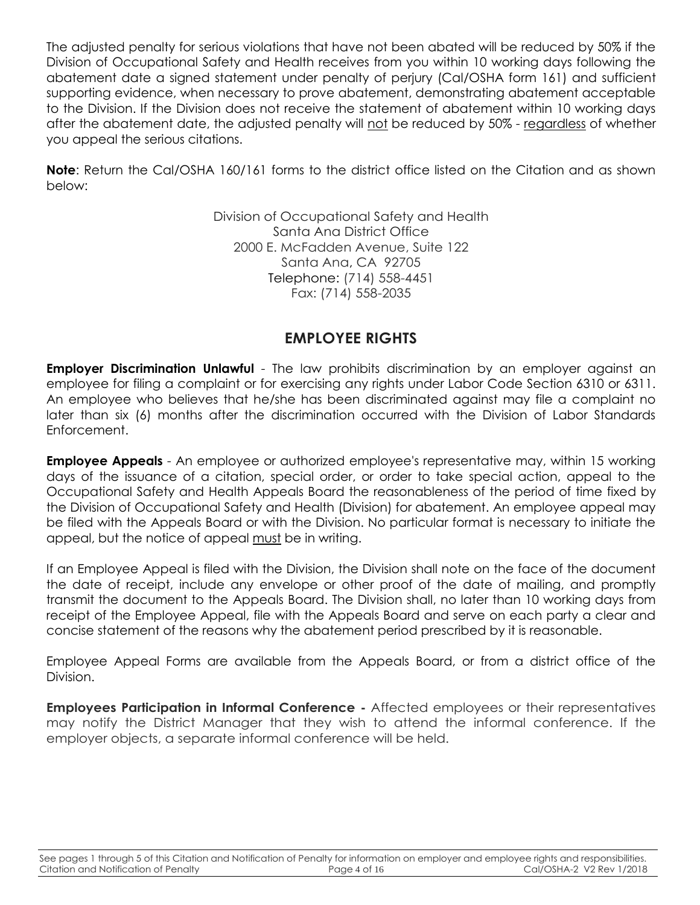The adjusted penalty for serious violations that have not been abated will be reduced by 50% if the Division of Occupational Safety and Health receives from you within 10 working days following the abatement date a signed statement under penalty of perjury (Cal/OSHA form 161) and sufficient supporting evidence, when necessary to prove abatement, demonstrating abatement acceptable to the Division. If the Division does not receive the statement of abatement within 10 working days after the abatement date, the adjusted penalty will not be reduced by 50% - regardless of whether you appeal the serious citations.

**Note**: Return the Cal/OSHA 160/161 forms to the district office listed on the Citation and as shown below:

> Division of Occupational Safety and Health Santa Ana District Office 2000 E. McFadden Avenue, Suite 122 Santa Ana, CA 92705 Telephone: (714) 558-4451 Fax: (714) 558-2035

# **EMPLOYEE RIGHTS**

**Employer Discrimination Unlawful** - The law prohibits discrimination by an employer against an employee for filing a complaint or for exercising any rights under Labor Code Section 6310 or 6311. An employee who believes that he/she has been discriminated against may file a complaint no later than six (6) months after the discrimination occurred with the Division of Labor Standards Enforcement.

**Employee Appeals** - An employee or authorized employee's representative may, within 15 working days of the issuance of a citation, special order, or order to take special action, appeal to the Occupational Safety and Health Appeals Board the reasonableness of the period of time fixed by the Division of Occupational Safety and Health (Division) for abatement. An employee appeal may be filed with the Appeals Board or with the Division. No particular format is necessary to initiate the appeal, but the notice of appeal must be in writing.

If an Employee Appeal is filed with the Division, the Division shall note on the face of the document the date of receipt, include any envelope or other proof of the date of mailing, and promptly transmit the document to the Appeals Board. The Division shall, no later than 10 working days from receipt of the Employee Appeal, file with the Appeals Board and serve on each party a clear and concise statement of the reasons why the abatement period prescribed by it is reasonable.

Employee Appeal Forms are available from the Appeals Board, or from a district office of the Division.

**Employees Participation in Informal Conference -** Affected employees or their representatives may notify the District Manager that they wish to attend the informal conference. If the employer objects, a separate informal conference will be held.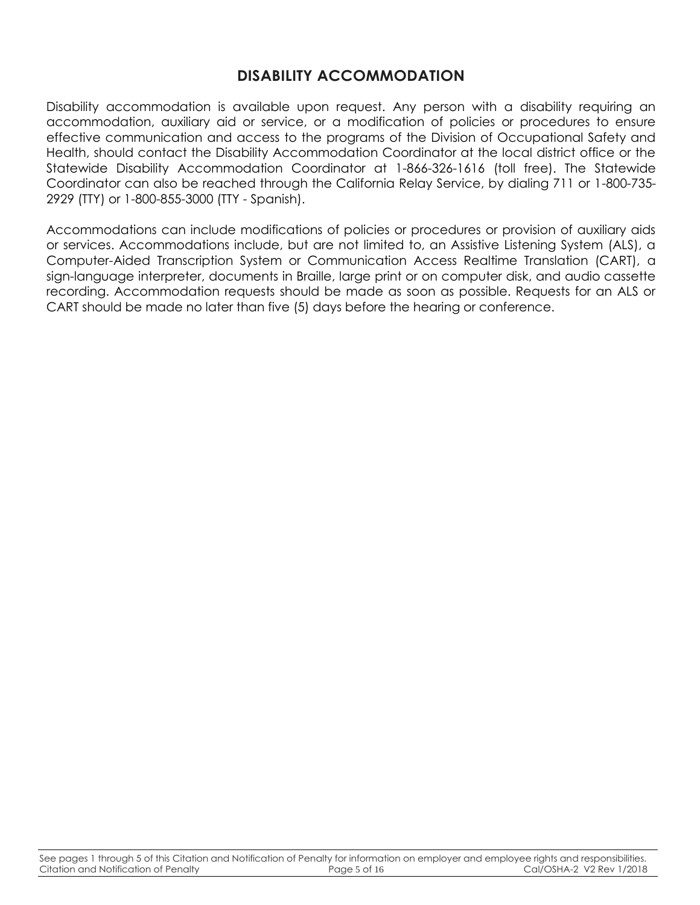## **DISABILITY ACCOMMODATION**

Disability accommodation is available upon request. Any person with a disability requiring an accommodation, auxiliary aid or service, or a modification of policies or procedures to ensure effective communication and access to the programs of the Division of Occupational Safety and Health, should contact the Disability Accommodation Coordinator at the local district office or the Statewide Disability Accommodation Coordinator at 1-866-326-1616 (toll free). The Statewide Coordinator can also be reached through the California Relay Service, by dialing 711 or 1-800-735- 2929 (TTY) or 1-800-855-3000 (TTY - Spanish).

Accommodations can include modifications of policies or procedures or provision of auxiliary aids or services. Accommodations include, but are not limited to, an Assistive Listening System (ALS), a Computer-Aided Transcription System or Communication Access Realtime Translation (CART), a sign-language interpreter, documents in Braille, large print or on computer disk, and audio cassette recording. Accommodation requests should be made as soon as possible. Requests for an ALS or CART should be made no later than five (5) days before the hearing or conference.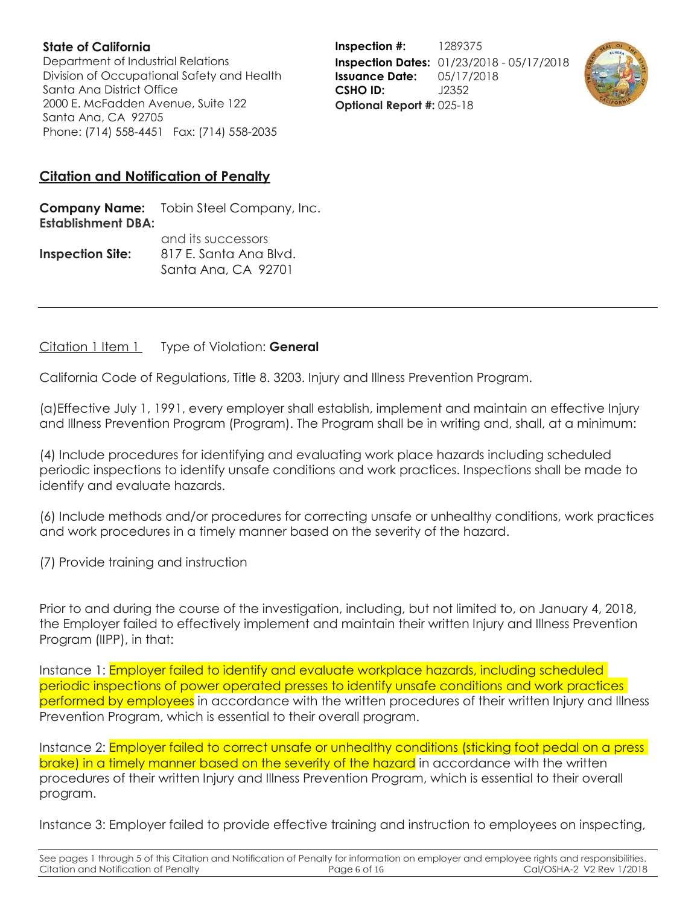Department of Industrial Relations Division of Occupational Safety and Health Santa Ana District Office 2000 E. McFadden Avenue, Suite 122 Santa Ana, CA 92705 Phone: (714) 558-4451 Fax: (714) 558-2035

**Inspection #:** 1289375 **Inspection Dates:** 01/23/2018 - 05/17/2018 **Issuance Date:** 05/17/2018 **CSHO ID:** J2352 **Optional Report #:** 025-18



## **Citation and Notification of Penalty**

**Company Name:** Tobin Steel Company, Inc. **Establishment DBA:**  and its successors

|                         | <b>CHIGHTS SUCCESSOLS</b> |  |
|-------------------------|---------------------------|--|
| <b>Inspection Site:</b> | 817 E. Santa Ana Blvd.    |  |
|                         | Santa Ana, CA 92701       |  |

Citation 1 Item 1 Type of Violation: **General**

California Code of Regulations, Title 8. 3203. Injury and Illness Prevention Program.

(a)Effective July 1, 1991, every employer shall establish, implement and maintain an effective Injury and Illness Prevention Program (Program). The Program shall be in writing and, shall, at a minimum:

(4) Include procedures for identifying and evaluating work place hazards including scheduled periodic inspections to identify unsafe conditions and work practices. Inspections shall be made to identify and evaluate hazards.

(6) Include methods and/or procedures for correcting unsafe or unhealthy conditions, work practices and work procedures in a timely manner based on the severity of the hazard.

(7) Provide training and instruction

Prior to and during the course of the investigation, including, but not limited to, on January 4, 2018, the Employer failed to effectively implement and maintain their written Injury and Illness Prevention Program (IIPP), in that:

Instance 1: Employer failed to identify and evaluate workplace hazards, including scheduled periodic inspections of power operated presses to identify unsafe conditions and work practices performed by employees in accordance with the written procedures of their written Injury and Illness Prevention Program, which is essential to their overall program.

Instance 2: **Employer failed to correct unsafe or unhealthy conditions (sticking foot pedal on a press** brake) in a timely manner based on the severity of the hazard in accordance with the written procedures of their written Injury and Illness Prevention Program, which is essential to their overall program.

Instance 3: Employer failed to provide effective training and instruction to employees on inspecting,

See pages 1 through 5 of this Citation and Notification of Penalty for information on employer and employee rights and responsibilities.<br>Citation and Notification of Penalty Page 6 of 16 critation and Notification of Penal Citation and Notification of Penalty **Page 6 of 16** Cal/OSHA-2 V2 Rev 1/2018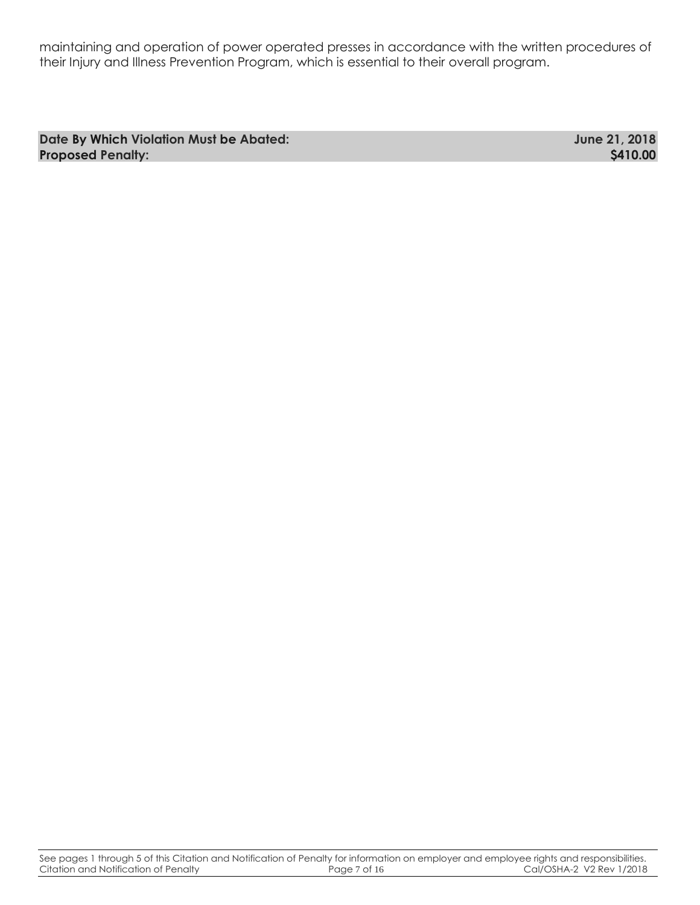maintaining and operation of power operated presses in accordance with the written procedures of their Injury and Illness Prevention Program, which is essential to their overall program.

**Date By Which Violation Must be Abated: June 21, 2018 Proposed Penalty: \$410.00**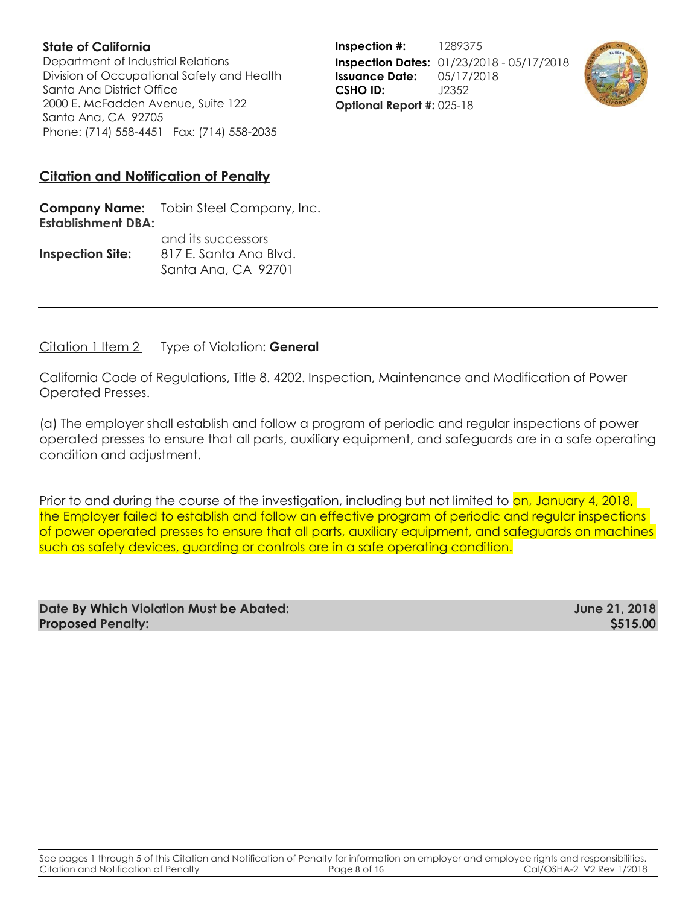Department of Industrial Relations Division of Occupational Safety and Health Santa Ana District Office 2000 E. McFadden Avenue, Suite 122 Santa Ana, CA 92705 Phone: (714) 558-4451 Fax: (714) 558-2035

**Inspection #:** 1289375 **Inspection Dates:** 01/23/2018 - 05/17/2018 **Issuance Date:** 05/17/2018 **CSHO ID:** J2352 **Optional Report #:** 025-18



### **Citation and Notification of Penalty**

**Company Name:** Tobin Steel Company, Inc. **Establishment DBA:**  and its successors

|                         | <u>UHU IIS SUCCESSOIS</u> |  |
|-------------------------|---------------------------|--|
| <b>Inspection Site:</b> | 817 E. Santa Ana Blvd.    |  |
|                         | Santa Ana, CA 92701       |  |

Citation 1 Item 2 Type of Violation: **General**

California Code of Regulations, Title 8. 4202. Inspection, Maintenance and Modification of Power Operated Presses.

(a) The employer shall establish and follow a program of periodic and regular inspections of power operated presses to ensure that all parts, auxiliary equipment, and safeguards are in a safe operating condition and adjustment.

Prior to and during the course of the investigation, including but not limited to on, January 4, 2018, the Employer failed to establish and follow an effective program of periodic and regular inspections of power operated presses to ensure that all parts, auxiliary equipment, and safeguards on machines such as safety devices, guarding or controls are in a safe operating condition.

| Date By Which Violation Must be Abated: | June 21, 2018 |
|-----------------------------------------|---------------|
| <b>Proposed Penalty:</b>                | \$515.00      |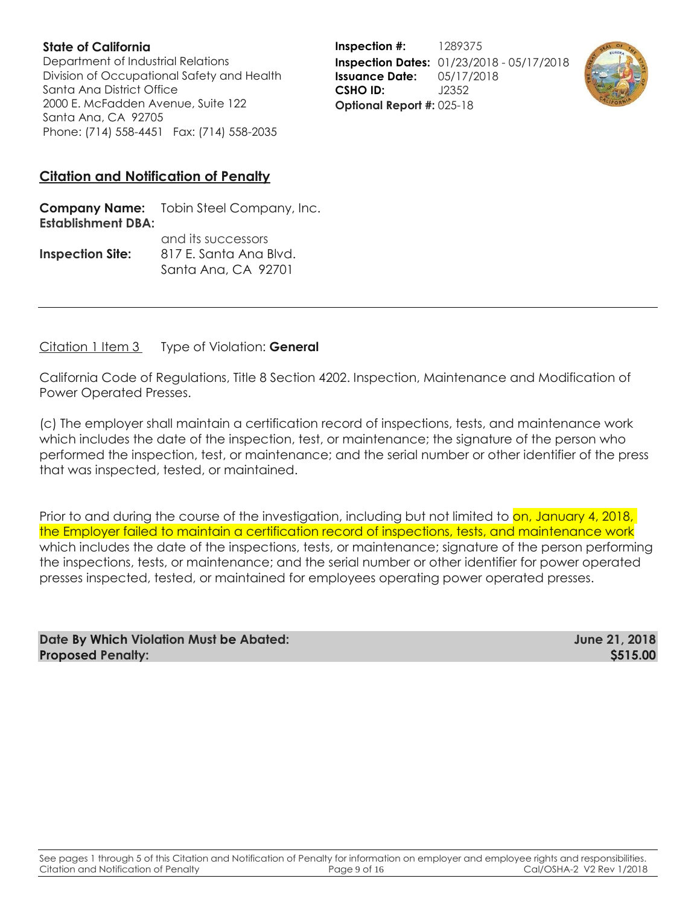Department of Industrial Relations Division of Occupational Safety and Health Santa Ana District Office 2000 E. McFadden Avenue, Suite 122 Santa Ana, CA 92705 Phone: (714) 558-4451 Fax: (714) 558-2035

**Inspection #:** 1289375 **Inspection Dates:** 01/23/2018 - 05/17/2018 **Issuance Date:** 05/17/2018 **CSHO ID:** J2352 **Optional Report #:** 025-18



## **Citation and Notification of Penalty**

**Company Name:** Tobin Steel Company, Inc. **Establishment DBA:**  and its successors

|                         | <u>UNU NY SUCCESSON</u> |  |
|-------------------------|-------------------------|--|
| <b>Inspection Site:</b> | 817 E. Santa Ana Blvd.  |  |
|                         | Santa Ana, CA 92701     |  |

Citation 1 Item 3 Type of Violation: **General**

California Code of Regulations, Title 8 Section 4202. Inspection, Maintenance and Modification of Power Operated Presses.

(c) The employer shall maintain a certification record of inspections, tests, and maintenance work which includes the date of the inspection, test, or maintenance; the signature of the person who performed the inspection, test, or maintenance; and the serial number or other identifier of the press that was inspected, tested, or maintained.

Prior to and during the course of the investigation, including but not limited to on, January 4, 2018, the Employer failed to maintain a certification record of inspections, tests, and maintenance work which includes the date of the inspections, tests, or maintenance; signature of the person performing the inspections, tests, or maintenance; and the serial number or other identifier for power operated presses inspected, tested, or maintained for employees operating power operated presses.

| Date By Which Violation Must be Abated: | June 21, 2018 |
|-----------------------------------------|---------------|
| <b>Proposed Penalty:</b>                | \$515.00      |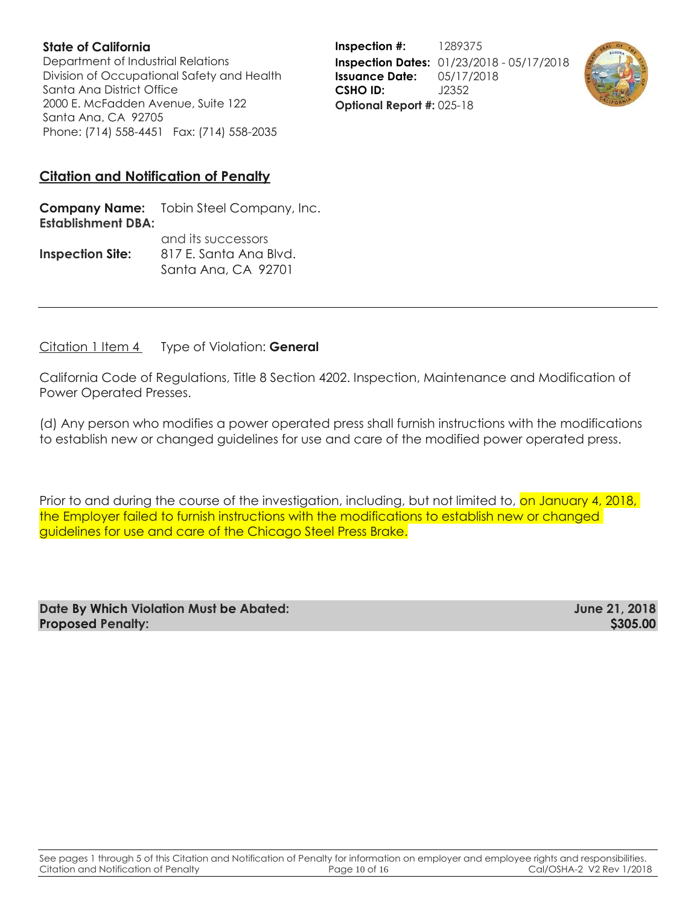Department of Industrial Relations Division of Occupational Safety and Health Santa Ana District Office 2000 E. McFadden Avenue, Suite 122 Santa Ana, CA 92705 Phone: (714) 558-4451 Fax: (714) 558-2035

**Inspection #:** 1289375 **Inspection Dates:** 01/23/2018 - 05/17/2018 **Issuance Date:** 05/17/2018 **CSHO ID:** J2352 **Optional Report #:** 025-18



### **Citation and Notification of Penalty**

**Company Name:** Tobin Steel Company, Inc. **Establishment DBA:**  and its successors

|                         | <b>CITULITY SUCCESSOIS</b> |  |
|-------------------------|----------------------------|--|
| <b>Inspection Site:</b> | 817 E. Santa Ana Blvd.     |  |
|                         | Santa Ana, CA 92701        |  |

Citation 1 Item 4 Type of Violation: **General**

California Code of Regulations, Title 8 Section 4202. Inspection, Maintenance and Modification of Power Operated Presses.

(d) Any person who modifies a power operated press shall furnish instructions with the modifications to establish new or changed guidelines for use and care of the modified power operated press.

Prior to and during the course of the investigation, including, but not limited to, <mark>on January 4, 2018,</mark> the Employer failed to furnish instructions with the modifications to establish new or changed guidelines for use and care of the Chicago Steel Press Brake.

| Date By Which Violation Must be Abated: | June 21, 2018   |
|-----------------------------------------|-----------------|
| <b>Proposed Penalty:</b>                | <b>\$305.00</b> |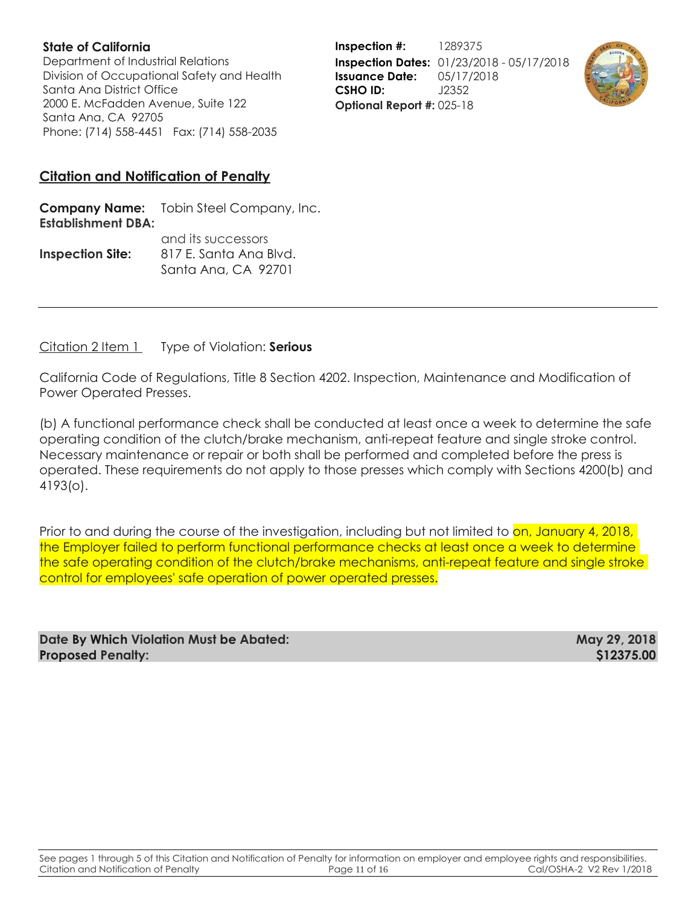Department of Industrial Relations Division of Occupational Safety and Health Santa Ana District Office 2000 E. McFadden Avenue, Suite 122 Santa Ana, CA 92705 Phone: (714) 558-4451 Fax: (714) 558-2035

**Inspection #:** 1289375 **Inspection Dates:** 01/23/2018 - 05/17/2018 **Issuance Date:** 05/17/2018 **CSHO ID:** J2352 **Optional Report #:** 025-18



### **Citation and Notification of Penalty**

**Company Name:** Tobin Steel Company, Inc. **Establishment DBA:**  and its successors

|                         | <b>CITULITY SUCCESSOIS</b> |  |
|-------------------------|----------------------------|--|
| <b>Inspection Site:</b> | 817 E. Santa Ana Blvd.     |  |
|                         | Santa Ana, CA 92701        |  |

Citation 2 Item 1 Type of Violation: **Serious**

California Code of Regulations, Title 8 Section 4202. Inspection, Maintenance and Modification of Power Operated Presses.

(b) A functional performance check shall be conducted at least once a week to determine the safe operating condition of the clutch/brake mechanism, anti-repeat feature and single stroke control. Necessary maintenance or repair or both shall be performed and completed before the press is operated. These requirements do not apply to those presses which comply with Sections 4200(b) and 4193(o).

Prior to and during the course of the investigation, including but not limited to on, January 4, 2018, the Employer failed to perform functional performance checks at least once a week to determine the safe operating condition of the clutch/brake mechanisms, anti-repeat feature and single stroke control for employees' safe operation of power operated presses.

| Date By Which Violation Must be Abated: | May 29, 2018 |
|-----------------------------------------|--------------|
| <b>Proposed Penalty:</b>                | \$12375.00   |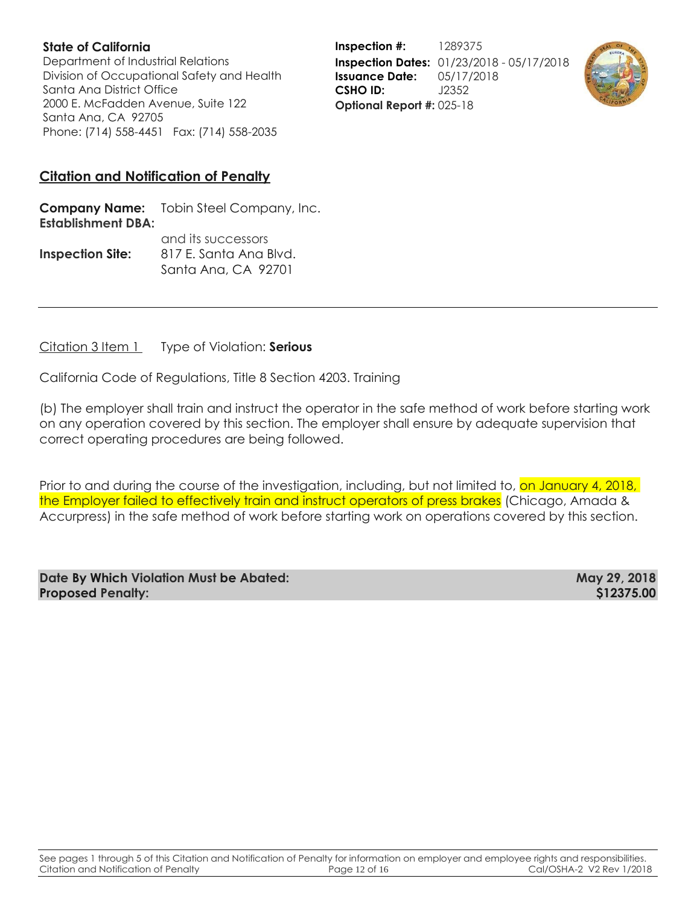Department of Industrial Relations Division of Occupational Safety and Health Santa Ana District Office 2000 E. McFadden Avenue, Suite 122 Santa Ana, CA 92705 Phone: (714) 558-4451 Fax: (714) 558-2035

**Inspection #:** 1289375 **Inspection Dates:** 01/23/2018 - 05/17/2018 **Issuance Date:** 05/17/2018 **CSHO ID:** J2352 **Optional Report #:** 025-18



## **Citation and Notification of Penalty**

**Company Name:** Tobin Steel Company, Inc. **Establishment DBA:**  and its successors

|                         | <b>GITA ITS SUCCESSOLS</b> |  |
|-------------------------|----------------------------|--|
| <b>Inspection Site:</b> | 817 E. Santa Ana Blvd.     |  |
|                         | Santa Ana, CA 92701        |  |

Citation 3 Item 1 Type of Violation: **Serious**

California Code of Regulations, Title 8 Section 4203. Training

(b) The employer shall train and instruct the operator in the safe method of work before starting work on any operation covered by this section. The employer shall ensure by adequate supervision that correct operating procedures are being followed.

Prior to and during the course of the investigation, including, but not limited to, on January 4, 2018, the Employer failed to effectively train and instruct operators of press brakes (Chicago, Amada & Accurpress) in the safe method of work before starting work on operations covered by this section.

| Date By Which Violation Must be Abated: | May 29, 2018 |
|-----------------------------------------|--------------|
| <b>Proposed Penalty:</b>                | \$12375.00   |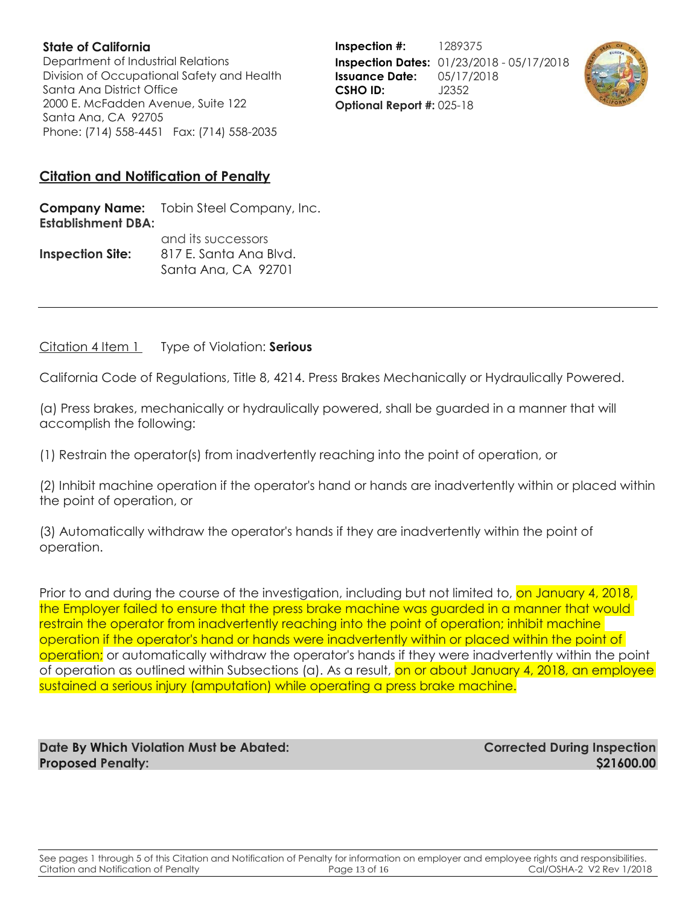Department of Industrial Relations Division of Occupational Safety and Health Santa Ana District Office 2000 E. McFadden Avenue, Suite 122 Santa Ana, CA 92705 Phone: (714) 558-4451 Fax: (714) 558-2035

**Inspection #:** 1289375 **Inspection Dates:** 01/23/2018 - 05/17/2018 **Issuance Date:** 05/17/2018 **CSHO ID:** J2352 **Optional Report #:** 025-18



### **Citation and Notification of Penalty**

**Company Name:** Tobin Steel Company, Inc. **Establishment DBA:**  and its successors

|                         | <b>GITA ITS SUCCESSOLS</b> |  |
|-------------------------|----------------------------|--|
| <b>Inspection Site:</b> | 817 E. Santa Ana Blvd.     |  |
|                         | Santa Ana, CA 92701        |  |

#### Citation 4 Item 1 Type of Violation: **Serious**

California Code of Regulations, Title 8, 4214. Press Brakes Mechanically or Hydraulically Powered.

(a) Press brakes, mechanically or hydraulically powered, shall be guarded in a manner that will accomplish the following:

(1) Restrain the operator(s) from inadvertently reaching into the point of operation, or

(2) Inhibit machine operation if the operator's hand or hands are inadvertently within or placed within the point of operation, or

(3) Automatically withdraw the operator's hands if they are inadvertently within the point of operation.

Prior to and during the course of the investigation, including but not limited to, on January 4, 2018, the Employer failed to ensure that the press brake machine was guarded in a manner that would restrain the operator from inadvertently reaching into the point of operation; inhibit machine operation if the operator's hand or hands were inadvertently within or placed within the point of operation; or automatically withdraw the operator's hands if they were inadvertently within the point of operation as outlined within Subsections (a). As a result, on or about January 4, 2018, an employee sustained a serious injury (amputation) while operating a press brake machine.

**Date By Which Violation Must be Abated: Corrected During Inspection Proposed Penalty: \$21600.00**

See pages 1 through 5 of this Citation and Notification of Penalty for information on employer and employee rights and responsibilities.<br>Citation and Notification of Penalty Page 13 of 16 cal/OSHA-2 V2 Rev 1/2018 Citation and Notification of Penalty **Page 13 of 16** Page 13 of 16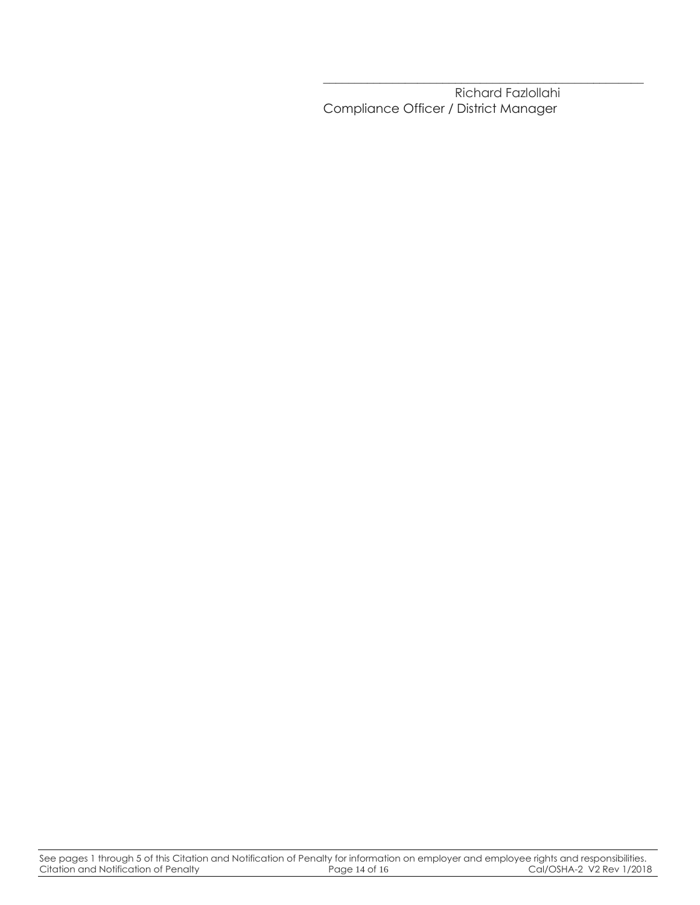Richard Fazlollahi Compliance Officer / District Manager

\_\_\_\_\_\_\_\_\_\_\_\_\_\_\_\_\_\_\_\_\_\_\_\_\_\_\_\_\_\_\_\_\_\_\_\_\_\_\_\_\_\_\_\_\_\_\_\_\_\_\_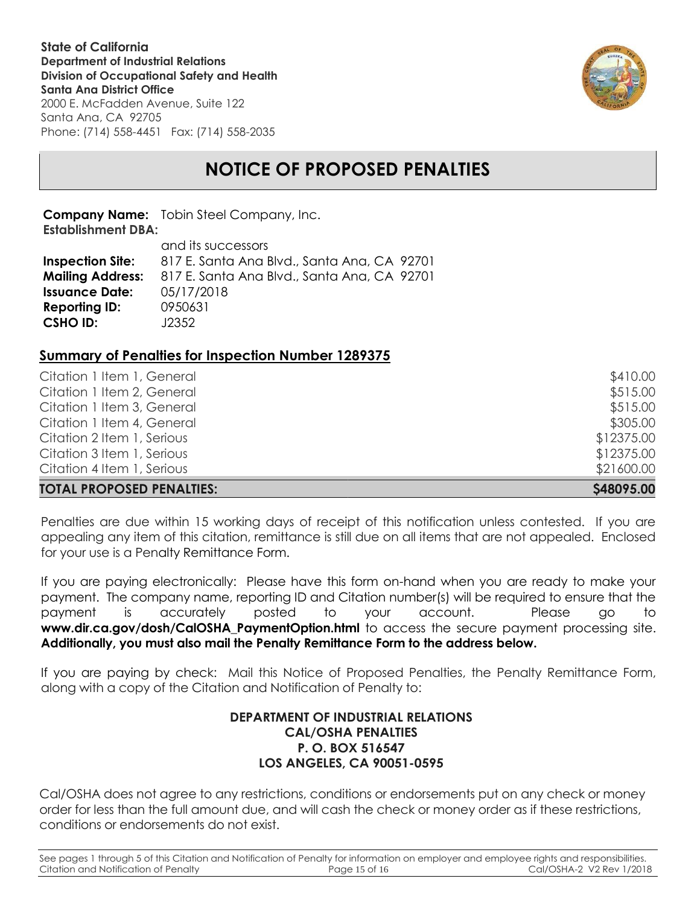**State of California Department of Industrial Relations Division of Occupational Safety and Health Santa Ana District Office** 2000 E. McFadden Avenue, Suite 122

Santa Ana, CA 92705 Phone: (714) 558-4451 Fax: (714) 558-2035



# **NOTICE OF PROPOSED PENALTIES**

**Company Name:** Tobin Steel Company, Inc. **Establishment DBA:** 

|                         | and its successors                          |  |
|-------------------------|---------------------------------------------|--|
| <b>Inspection Site:</b> | 817 E. Santa Ana Blvd., Santa Ana, CA 92701 |  |
| <b>Mailing Address:</b> | 817 E. Santa Ana Blvd., Santa Ana, CA 92701 |  |
| <b>Issuance Date:</b>   | 05/17/2018                                  |  |
| <b>Reporting ID:</b>    | 0950631                                     |  |
| <b>CSHO ID:</b>         | J2352                                       |  |

#### **Summary of Penalties for Inspection Number 1289375**

| S48095.00  |
|------------|
| \$21600.00 |
| \$12375.00 |
| \$12375.00 |
| \$305.00   |
| \$515.00   |
| \$515.00   |
| \$410.00   |
|            |

Penalties are due within 15 working days of receipt of this notification unless contested. If you are appealing any item of this citation, remittance is still due on all items that are not appealed. Enclosed for your use is a Penalty Remittance Form.

If you are paying electronically: Please have this form on-hand when you are ready to make your payment. The company name, reporting ID and Citation number(s) will be required to ensure that the payment is accurately posted to your account. Please go to www.dir.ca.gov/dosh/CalOSHA\_PaymentOption.html to access the secure payment processing site. **Additionally, you must also mail the Penalty Remittance Form to the address below.**

If you are paying by check: Mail this Notice of Proposed Penalties, the Penalty Remittance Form, along with a copy of the Citation and Notification of Penalty to:

### **DEPARTMENT OF INDUSTRIAL RELATIONS CAL/OSHA PENALTIES P. O. BOX 516547 LOS ANGELES, CA 90051-0595**

Cal/OSHA does not agree to any restrictions, conditions or endorsements put on any check or money order for less than the full amount due, and will cash the check or money order as if these restrictions, conditions or endorsements do not exist.

See pages 1 through 5 of this Citation and Notification of Penalty for information on employer and employee rights and responsibilities.<br>Citation and Notification of Penalty Page 15 of 16<br>Cal/OSHA-2 V2 Rev 1/2018 Citation and Notification of Penalty **Page 15 of 16** Page 15 of 16